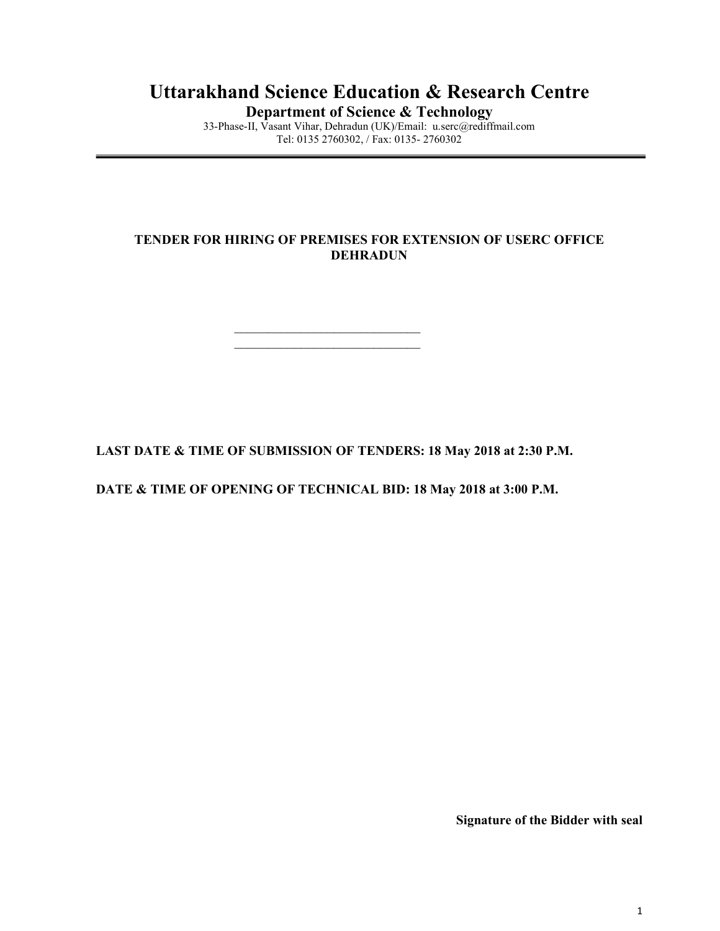## Uttarakhand Science Education & Research Centre

Department of Science & Technology

33-Phase-II, Vasant Vihar, Dehradun (UK)/Email: u.serc@rediffmail.com Tel: 0135 2760302, / Fax: 0135- 2760302

## TENDER FOR HIRING OF PREMISES FOR EXTENSION OF USERC OFFICE DEHRADUN

LAST DATE & TIME OF SUBMISSION OF TENDERS: 18 May 2018 at 2:30 P.M.

DATE & TIME OF OPENING OF TECHNICAL BID: 18 May 2018 at 3:00 P.M.

\_\_\_\_\_\_\_\_\_\_\_\_\_\_\_\_\_\_\_\_\_\_\_\_\_\_\_\_ \_\_\_\_\_\_\_\_\_\_\_\_\_\_\_\_\_\_\_\_\_\_\_\_\_\_\_\_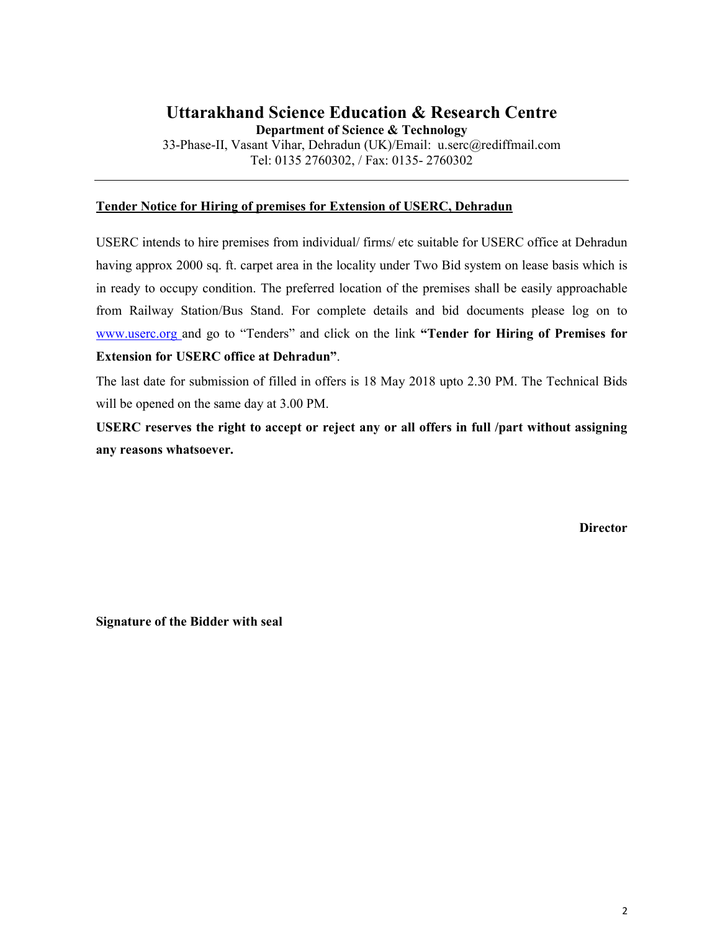## Uttarakhand Science Education & Research Centre

Department of Science & Technology

33-Phase-II, Vasant Vihar, Dehradun (UK)/Email: u.serc@rediffmail.com Tel: 0135 2760302, / Fax: 0135- 2760302

## Tender Notice for Hiring of premises for Extension of USERC, Dehradun

USERC intends to hire premises from individual/ firms/ etc suitable for USERC office at Dehradun having approx 2000 sq. ft. carpet area in the locality under Two Bid system on lease basis which is in ready to occupy condition. The preferred location of the premises shall be easily approachable from Railway Station/Bus Stand. For complete details and bid documents please log on to www.userc.org and go to "Tenders" and click on the link "Tender for Hiring of Premises for Extension for USERC office at Dehradun".

The last date for submission of filled in offers is 18 May 2018 upto 2.30 PM. The Technical Bids will be opened on the same day at 3.00 PM.

USERC reserves the right to accept or reject any or all offers in full /part without assigning any reasons whatsoever.

**Director**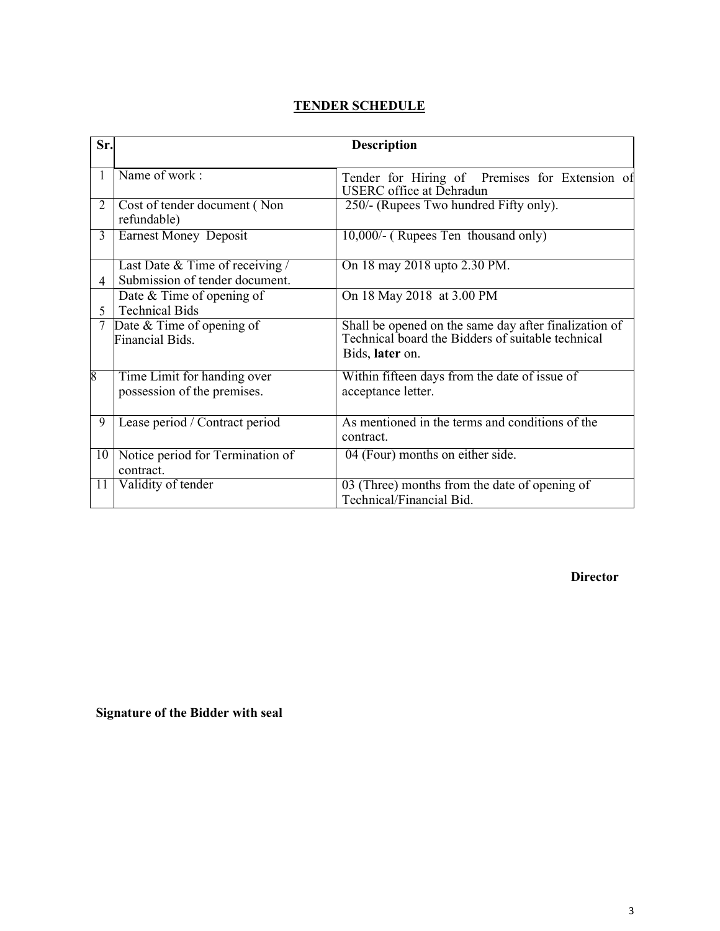| <b>TENDER SCHEDULE</b> |
|------------------------|
|                        |

| Sr. | <b>Description</b>                                                |                                                                                                                               |  |  |
|-----|-------------------------------------------------------------------|-------------------------------------------------------------------------------------------------------------------------------|--|--|
|     | Name of work:                                                     | Tender for Hiring of Premises for Extension of<br><b>USERC</b> office at Dehradun                                             |  |  |
| 2   | Cost of tender document (Non<br>refundable)                       | 250/- (Rupees Two hundred Fifty only).                                                                                        |  |  |
| 3   | <b>Earnest Money Deposit</b>                                      | 10,000/- (Rupees Ten thousand only)                                                                                           |  |  |
| 4   | Last Date & Time of receiving /<br>Submission of tender document. | On 18 may 2018 upto 2.30 PM.                                                                                                  |  |  |
| 5   | Date & Time of opening of<br><b>Technical Bids</b>                | On 18 May 2018 at 3.00 PM                                                                                                     |  |  |
|     | Date & Time of opening of<br>Financial Bids.                      | Shall be opened on the same day after finalization of<br>Technical board the Bidders of suitable technical<br>Bids, later on. |  |  |
| 8   | Time Limit for handing over<br>possession of the premises.        | Within fifteen days from the date of issue of<br>acceptance letter.                                                           |  |  |
| 9   | Lease period / Contract period                                    | As mentioned in the terms and conditions of the<br>contract.                                                                  |  |  |
| 10  | Notice period for Termination of<br>contract.                     | 04 (Four) months on either side.                                                                                              |  |  |
| 11  | Validity of tender                                                | 03 (Three) months from the date of opening of<br>Technical/Financial Bid.                                                     |  |  |

Director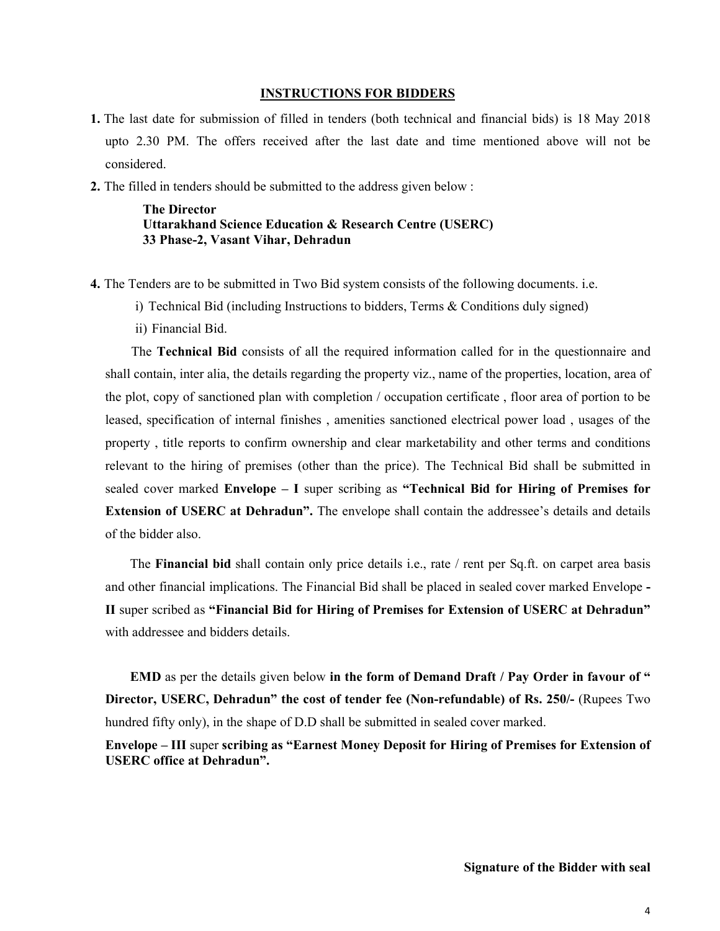#### INSTRUCTIONS FOR BIDDERS

- 1. The last date for submission of filled in tenders (both technical and financial bids) is 18 May 2018 upto 2.30 PM. The offers received after the last date and time mentioned above will not be considered.
- 2. The filled in tenders should be submitted to the address given below :

The Director Uttarakhand Science Education & Research Centre (USERC) 33 Phase-2, Vasant Vihar, Dehradun

- 4. The Tenders are to be submitted in Two Bid system consists of the following documents. i.e.
	- i) Technical Bid (including Instructions to bidders, Terms & Conditions duly signed)
	- ii) Financial Bid.

The Technical Bid consists of all the required information called for in the questionnaire and shall contain, inter alia, the details regarding the property viz., name of the properties, location, area of the plot, copy of sanctioned plan with completion / occupation certificate , floor area of portion to be leased, specification of internal finishes , amenities sanctioned electrical power load , usages of the property , title reports to confirm ownership and clear marketability and other terms and conditions relevant to the hiring of premises (other than the price). The Technical Bid shall be submitted in sealed cover marked Envelope – I super scribing as "Technical Bid for Hiring of Premises for **Extension of USERC at Dehradun".** The envelope shall contain the addressee's details and details of the bidder also.

The Financial bid shall contain only price details i.e., rate / rent per Sq.ft. on carpet area basis and other financial implications. The Financial Bid shall be placed in sealed cover marked Envelope - II super scribed as "Financial Bid for Hiring of Premises for Extension of USERC at Dehradun" with addressee and bidders details.

EMD as per the details given below in the form of Demand Draft / Pay Order in favour of " Director, USERC, Dehradun" the cost of tender fee (Non-refundable) of Rs. 250/- (Rupees Two hundred fifty only), in the shape of D.D shall be submitted in sealed cover marked.

Envelope – III super scribing as "Earnest Money Deposit for Hiring of Premises for Extension of USERC office at Dehradun".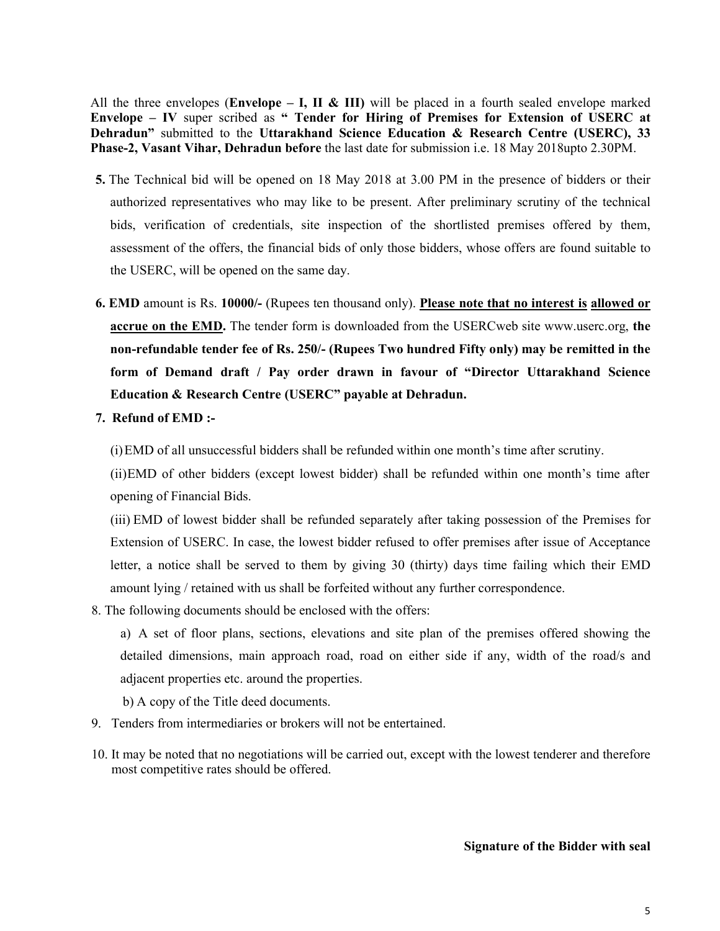All the three envelopes (Envelope – I, II & III) will be placed in a fourth sealed envelope marked Envelope – IV super scribed as " Tender for Hiring of Premises for Extension of USERC at Dehradun" submitted to the Uttarakhand Science Education & Research Centre (USERC), 33 Phase-2, Vasant Vihar, Dehradun before the last date for submission i.e. 18 May 2018upto 2.30PM.

- 5. The Technical bid will be opened on 18 May 2018 at 3.00 PM in the presence of bidders or their authorized representatives who may like to be present. After preliminary scrutiny of the technical bids, verification of credentials, site inspection of the shortlisted premises offered by them, assessment of the offers, the financial bids of only those bidders, whose offers are found suitable to the USERC, will be opened on the same day.
- 6. EMD amount is Rs. 10000/- (Rupees ten thousand only). Please note that no interest is allowed or accrue on the EMD. The tender form is downloaded from the USERCweb site www.userc.org, the non-refundable tender fee of Rs. 250/- (Rupees Two hundred Fifty only) may be remitted in the form of Demand draft / Pay order drawn in favour of "Director Uttarakhand Science Education & Research Centre (USERC" payable at Dehradun.
- 7. Refund of EMD :-

(i)EMD of all unsuccessful bidders shall be refunded within one month's time after scrutiny.

(ii)EMD of other bidders (except lowest bidder) shall be refunded within one month's time after opening of Financial Bids.

(iii) EMD of lowest bidder shall be refunded separately after taking possession of the Premises for Extension of USERC. In case, the lowest bidder refused to offer premises after issue of Acceptance letter, a notice shall be served to them by giving 30 (thirty) days time failing which their EMD amount lying / retained with us shall be forfeited without any further correspondence.

8. The following documents should be enclosed with the offers:

a) A set of floor plans, sections, elevations and site plan of the premises offered showing the detailed dimensions, main approach road, road on either side if any, width of the road/s and adjacent properties etc. around the properties.

b) A copy of the Title deed documents.

- 9. Tenders from intermediaries or brokers will not be entertained.
- 10. It may be noted that no negotiations will be carried out, except with the lowest tenderer and therefore most competitive rates should be offered.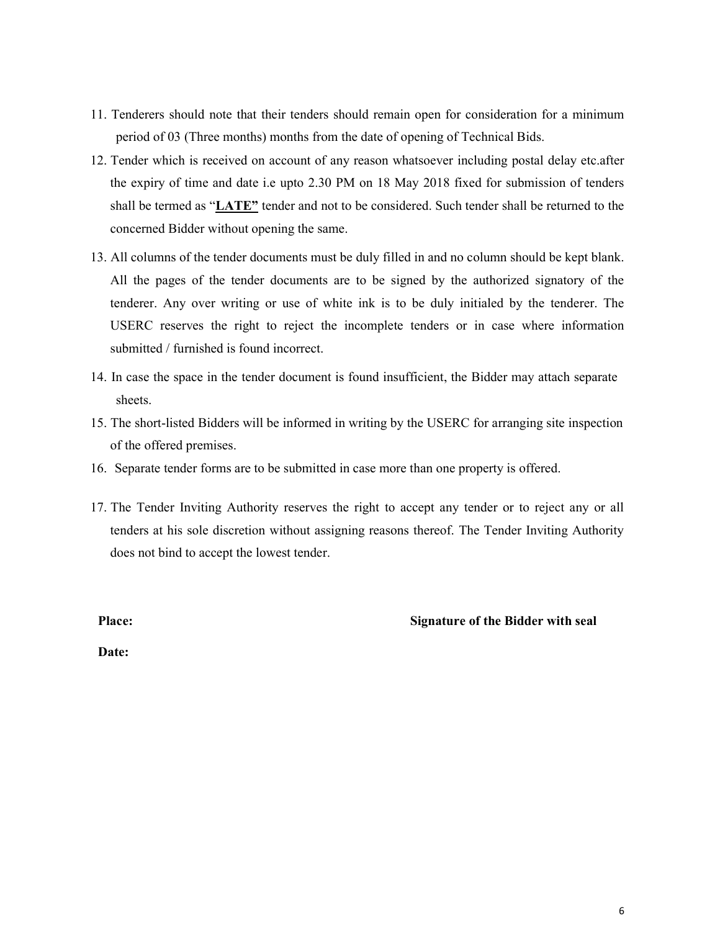- 11. Tenderers should note that their tenders should remain open for consideration for a minimum period of 03 (Three months) months from the date of opening of Technical Bids.
- 12. Tender which is received on account of any reason whatsoever including postal delay etc.after the expiry of time and date i.e upto 2.30 PM on 18 May 2018 fixed for submission of tenders shall be termed as "LATE" tender and not to be considered. Such tender shall be returned to the concerned Bidder without opening the same.
- 13. All columns of the tender documents must be duly filled in and no column should be kept blank. All the pages of the tender documents are to be signed by the authorized signatory of the tenderer. Any over writing or use of white ink is to be duly initialed by the tenderer. The USERC reserves the right to reject the incomplete tenders or in case where information submitted / furnished is found incorrect.
- 14. In case the space in the tender document is found insufficient, the Bidder may attach separate sheets.
- 15. The short-listed Bidders will be informed in writing by the USERC for arranging site inspection of the offered premises.
- 16. Separate tender forms are to be submitted in case more than one property is offered.
- 17. The Tender Inviting Authority reserves the right to accept any tender or to reject any or all tenders at his sole discretion without assigning reasons thereof. The Tender Inviting Authority does not bind to accept the lowest tender.

## Place: Signature of the Bidder with seal

Date: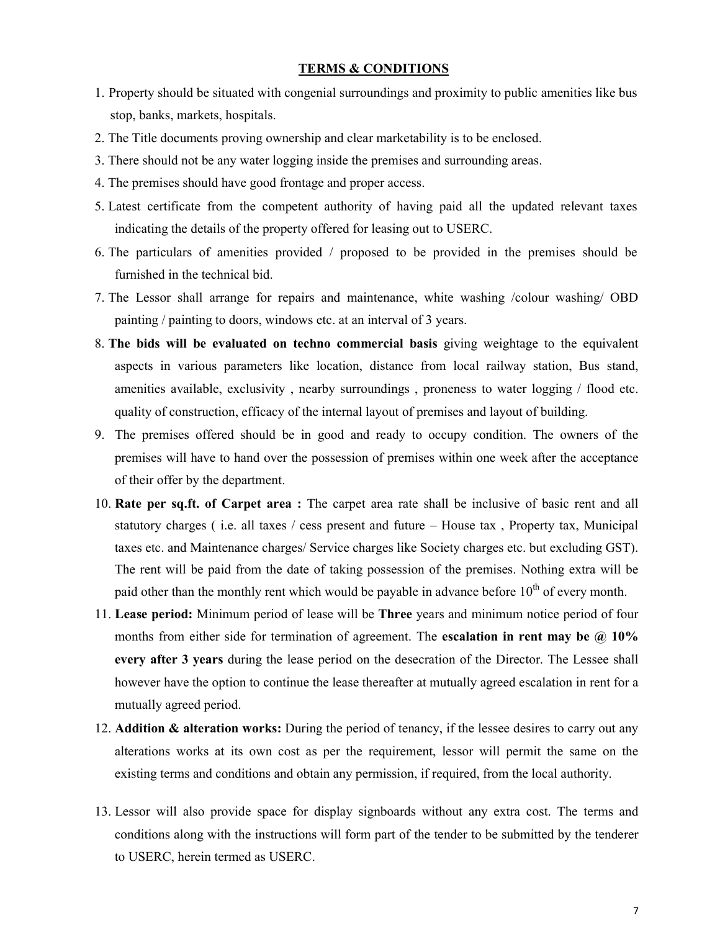#### TERMS & CONDITIONS

- 1. Property should be situated with congenial surroundings and proximity to public amenities like bus stop, banks, markets, hospitals.
- 2. The Title documents proving ownership and clear marketability is to be enclosed.
- 3. There should not be any water logging inside the premises and surrounding areas.
- 4. The premises should have good frontage and proper access.
- 5. Latest certificate from the competent authority of having paid all the updated relevant taxes indicating the details of the property offered for leasing out to USERC.
- 6. The particulars of amenities provided / proposed to be provided in the premises should be furnished in the technical bid.
- 7. The Lessor shall arrange for repairs and maintenance, white washing /colour washing/ OBD painting / painting to doors, windows etc. at an interval of 3 years.
- 8. The bids will be evaluated on techno commercial basis giving weightage to the equivalent aspects in various parameters like location, distance from local railway station, Bus stand, amenities available, exclusivity , nearby surroundings , proneness to water logging / flood etc. quality of construction, efficacy of the internal layout of premises and layout of building.
- 9. The premises offered should be in good and ready to occupy condition. The owners of the premises will have to hand over the possession of premises within one week after the acceptance of their offer by the department.
- 10. Rate per sq.ft. of Carpet area : The carpet area rate shall be inclusive of basic rent and all statutory charges ( i.e. all taxes / cess present and future – House tax , Property tax, Municipal taxes etc. and Maintenance charges/ Service charges like Society charges etc. but excluding GST). The rent will be paid from the date of taking possession of the premises. Nothing extra will be paid other than the monthly rent which would be payable in advance before  $10^{th}$  of every month.
- 11. Lease period: Minimum period of lease will be Three years and minimum notice period of four months from either side for termination of agreement. The **escalation in rent may be**  $\omega$  10% every after 3 years during the lease period on the desecration of the Director. The Lessee shall however have the option to continue the lease thereafter at mutually agreed escalation in rent for a mutually agreed period.
- 12. Addition  $\&$  alteration works: During the period of tenancy, if the lessee desires to carry out any alterations works at its own cost as per the requirement, lessor will permit the same on the existing terms and conditions and obtain any permission, if required, from the local authority.
- 13. Lessor will also provide space for display signboards without any extra cost. The terms and conditions along with the instructions will form part of the tender to be submitted by the tenderer to USERC, herein termed as USERC.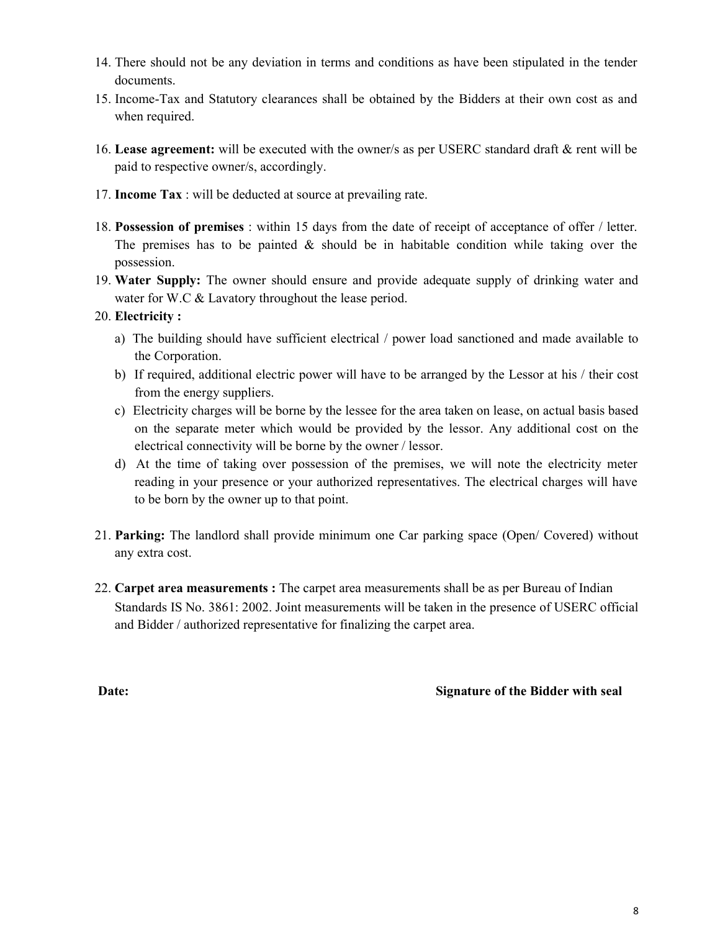- 14. There should not be any deviation in terms and conditions as have been stipulated in the tender documents.
- 15. Income-Tax and Statutory clearances shall be obtained by the Bidders at their own cost as and when required.
- 16. Lease agreement: will be executed with the owner/s as per USERC standard draft & rent will be paid to respective owner/s, accordingly.
- 17. Income Tax : will be deducted at source at prevailing rate.
- 18. Possession of premises : within 15 days from the date of receipt of acceptance of offer / letter. The premises has to be painted  $\&$  should be in habitable condition while taking over the possession.
- 19. Water Supply: The owner should ensure and provide adequate supply of drinking water and water for W.C & Lavatory throughout the lease period.
- 20. Electricity :
	- a) The building should have sufficient electrical / power load sanctioned and made available to the Corporation.
	- b) If required, additional electric power will have to be arranged by the Lessor at his / their cost from the energy suppliers.
	- c) Electricity charges will be borne by the lessee for the area taken on lease, on actual basis based on the separate meter which would be provided by the lessor. Any additional cost on the electrical connectivity will be borne by the owner / lessor.
	- d) At the time of taking over possession of the premises, we will note the electricity meter reading in your presence or your authorized representatives. The electrical charges will have to be born by the owner up to that point.
- 21. Parking: The landlord shall provide minimum one Car parking space (Open/ Covered) without any extra cost.
- 22. Carpet area measurements : The carpet area measurements shall be as per Bureau of Indian Standards IS No. 3861: 2002. Joint measurements will be taken in the presence of USERC official and Bidder / authorized representative for finalizing the carpet area.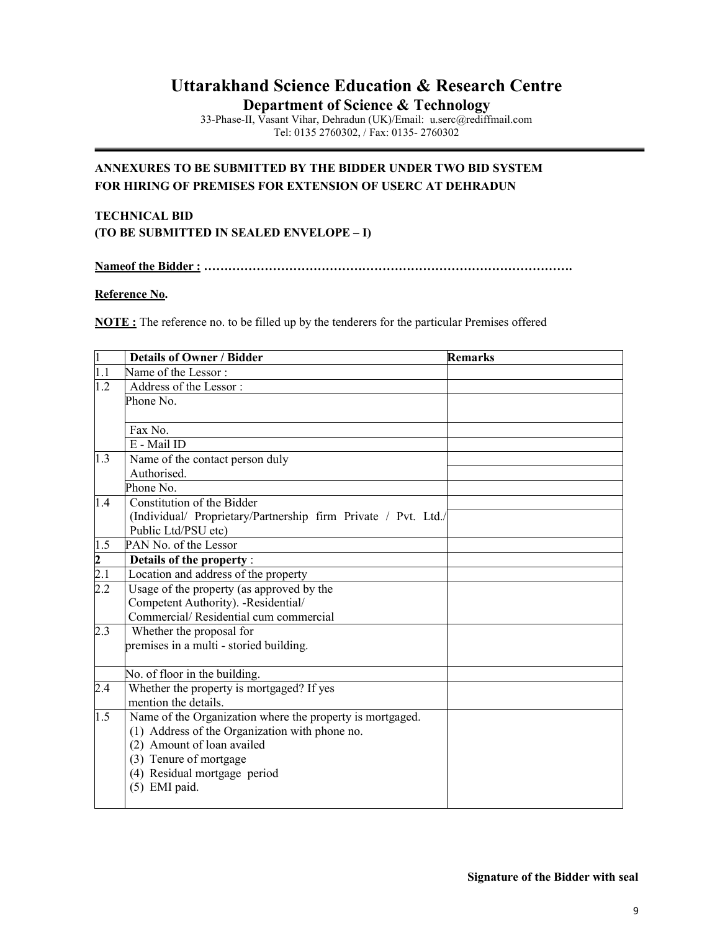# Uttarakhand Science Education & Research Centre

Department of Science & Technology

33-Phase-II, Vasant Vihar, Dehradun (UK)/Email: u.serc@rediffmail.com Tel: 0135 2760302, / Fax: 0135- 2760302

## ANNEXURES TO BE SUBMITTED BY THE BIDDER UNDER TWO BID SYSTEM FOR HIRING OF PREMISES FOR EXTENSION OF USERC AT DEHRADUN

## TECHNICAL BID (TO BE SUBMITTED IN SEALED ENVELOPE – I)

Nameof the Bidder : ……………………………………………………………………………….

#### Reference No.

NOTE : The reference no. to be filled up by the tenderers for the particular Premises offered

| $\vert$ 1        | <b>Details of Owner / Bidder</b>                               | <b>Remarks</b> |
|------------------|----------------------------------------------------------------|----------------|
| $\overline{1.1}$ | Name of the Lessor:                                            |                |
| 1.2              | Address of the Lessor:                                         |                |
|                  | Phone No.                                                      |                |
|                  |                                                                |                |
|                  | Fax No.                                                        |                |
|                  | E - Mail ID                                                    |                |
| 1.3              | Name of the contact person duly                                |                |
|                  | Authorised.                                                    |                |
|                  | Phone No.                                                      |                |
| 1.4              | Constitution of the Bidder                                     |                |
|                  | (Individual/ Proprietary/Partnership firm Private / Pvt. Ltd./ |                |
|                  | Public Ltd/PSU etc)                                            |                |
| $1.\overline{5}$ | PAN No. of the Lessor                                          |                |
| $\frac{2}{2.1}$  | Details of the property :                                      |                |
|                  | Location and address of the property                           |                |
| $\overline{2.2}$ | Usage of the property (as approved by the                      |                |
|                  | Competent Authority). -Residential/                            |                |
|                  | Commercial/Residential cum commercial                          |                |
| 2.3              | Whether the proposal for                                       |                |
|                  | premises in a multi - storied building.                        |                |
|                  |                                                                |                |
|                  | No. of floor in the building.                                  |                |
| 2.4              | Whether the property is mortgaged? If yes                      |                |
|                  | mention the details.                                           |                |
| 1.5              | Name of the Organization where the property is mortgaged.      |                |
|                  | (1) Address of the Organization with phone no.                 |                |
|                  | (2) Amount of loan availed                                     |                |
|                  | (3) Tenure of mortgage                                         |                |
|                  | (4) Residual mortgage period                                   |                |
|                  | (5) EMI paid.                                                  |                |
|                  |                                                                |                |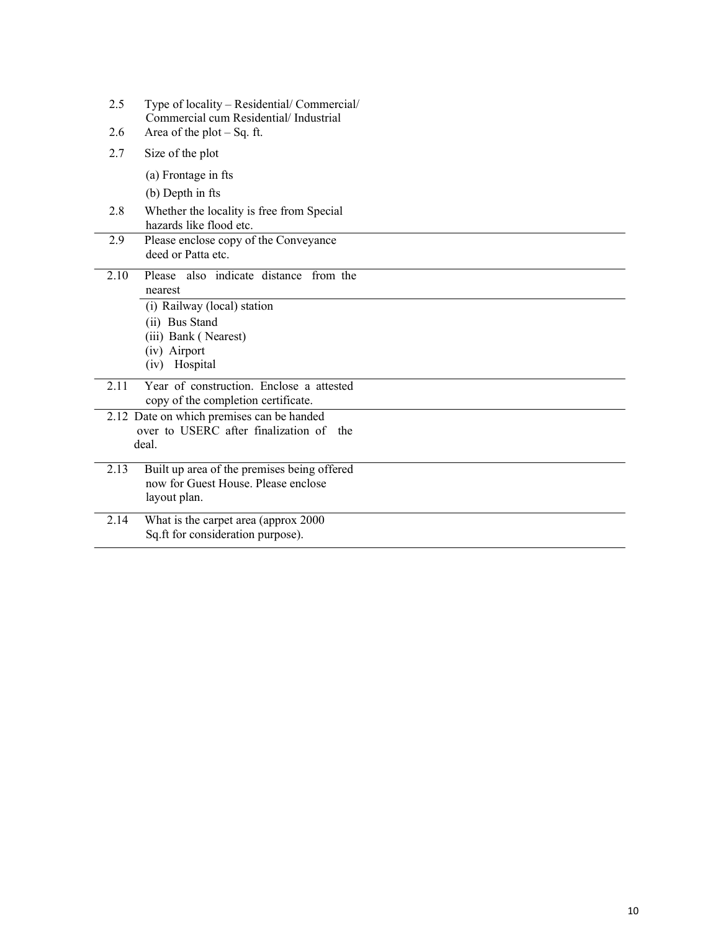| 2.5  | Type of locality – Residential/ Commercial/<br>Commercial cum Residential/Industrial |
|------|--------------------------------------------------------------------------------------|
| 2.6  | Area of the plot $-Sq$ . ft.                                                         |
| 2.7  | Size of the plot                                                                     |
|      | (a) Frontage in fts                                                                  |
|      | (b) Depth in fts                                                                     |
| 2.8  | Whether the locality is free from Special<br>hazards like flood etc.                 |
| 2.9  | Please enclose copy of the Conveyance                                                |
|      | deed or Patta etc.                                                                   |
| 2.10 | Please also indicate distance from the                                               |
|      | nearest                                                                              |
|      | (i) Railway (local) station                                                          |
|      | (ii) Bus Stand                                                                       |
|      | (iii) Bank (Nearest)                                                                 |
|      | (iv) Airport<br>Hospital<br>(iv)                                                     |
| 2.11 | Year of construction. Enclose a attested                                             |
|      | copy of the completion certificate.                                                  |
|      | 2.12 Date on which premises can be handed                                            |
|      | over to USERC after finalization of the                                              |
|      | deal.                                                                                |
| 2.13 | Built up area of the premises being offered                                          |
|      | now for Guest House. Please enclose                                                  |
|      | layout plan.                                                                         |
| 2.14 | What is the carpet area (approx 2000                                                 |
|      | Sq.ft for consideration purpose).                                                    |
|      |                                                                                      |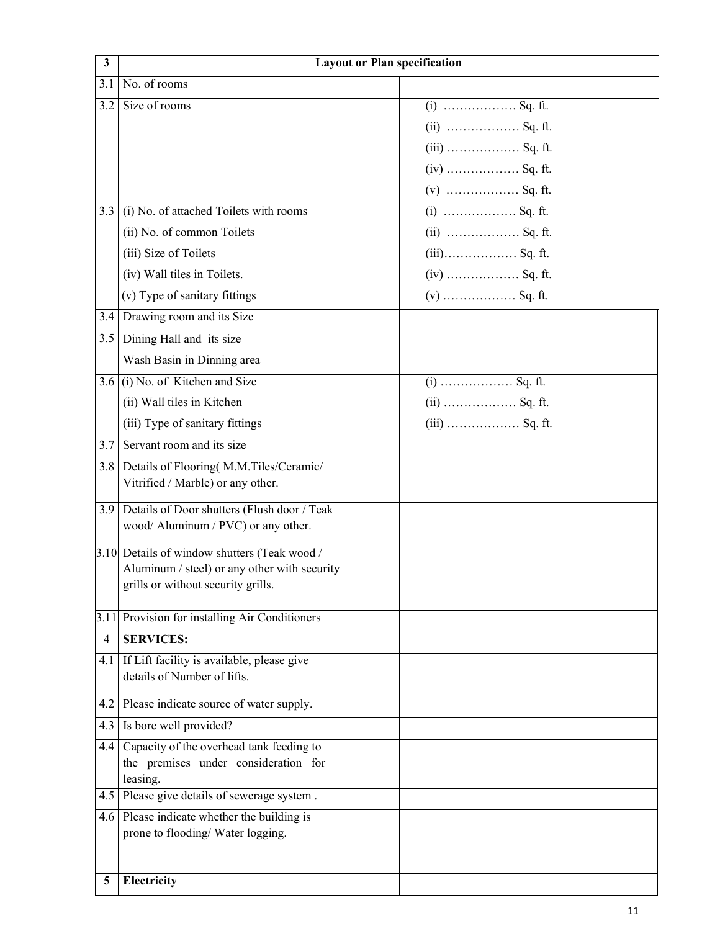| 3   |                                                                              | <b>Layout or Plan specification</b> |
|-----|------------------------------------------------------------------------------|-------------------------------------|
| 3.1 | No. of rooms                                                                 |                                     |
| 3.2 | Size of rooms                                                                | $(i)$ Sq. ft.                       |
|     |                                                                              | $(ii)$ Sq. ft.                      |
|     |                                                                              | $(iii)$ Sq. ft.                     |
|     |                                                                              | $(iv)$ Sq. ft.                      |
|     |                                                                              | $(v)$ Sq. ft.                       |
| 3.3 | (i) No. of attached Toilets with rooms                                       |                                     |
|     | (ii) No. of common Toilets                                                   | $(ii)$ Sq. ft.                      |
|     | (iii) Size of Toilets                                                        | $(iii)$ Sq. ft.                     |
|     | (iv) Wall tiles in Toilets.                                                  | $(iv)$ Sq. ft.                      |
|     | (v) Type of sanitary fittings                                                | $(v)$ Sq. ft.                       |
| 3.4 | Drawing room and its Size                                                    |                                     |
| 3.5 | Dining Hall and its size                                                     |                                     |
|     | Wash Basin in Dinning area                                                   |                                     |
| 3.6 | (i) No. of Kitchen and Size                                                  |                                     |
|     | (ii) Wall tiles in Kitchen                                                   | $(ii)$ Sq. ft.                      |
|     | (iii) Type of sanitary fittings                                              | $(iii)$ Sq. ft.                     |
| 3.7 | Servant room and its size                                                    |                                     |
| 3.8 | Details of Flooring(M.M.Tiles/Ceramic/                                       |                                     |
|     | Vitrified / Marble) or any other.                                            |                                     |
| 3.9 | Details of Door shutters (Flush door / Teak                                  |                                     |
|     | wood/ Aluminum / PVC) or any other.                                          |                                     |
|     | 3.10 Details of window shutters (Teak wood /                                 |                                     |
|     | Aluminum / steel) or any other with security                                 |                                     |
|     | grills or without security grills.                                           |                                     |
|     | 3.11 Provision for installing Air Conditioners                               |                                     |
| 4   | <b>SERVICES:</b>                                                             |                                     |
| 4.1 | If Lift facility is available, please give                                   |                                     |
|     | details of Number of lifts.                                                  |                                     |
| 4.2 | Please indicate source of water supply.                                      |                                     |
| 4.3 | Is bore well provided?                                                       |                                     |
| 4.4 | Capacity of the overhead tank feeding to                                     |                                     |
|     | the premises under consideration for                                         |                                     |
| 4.5 | leasing.<br>Please give details of sewerage system.                          |                                     |
|     |                                                                              |                                     |
| 4.6 | Please indicate whether the building is<br>prone to flooding/ Water logging. |                                     |
|     |                                                                              |                                     |
|     |                                                                              |                                     |
| 5   | Electricity                                                                  |                                     |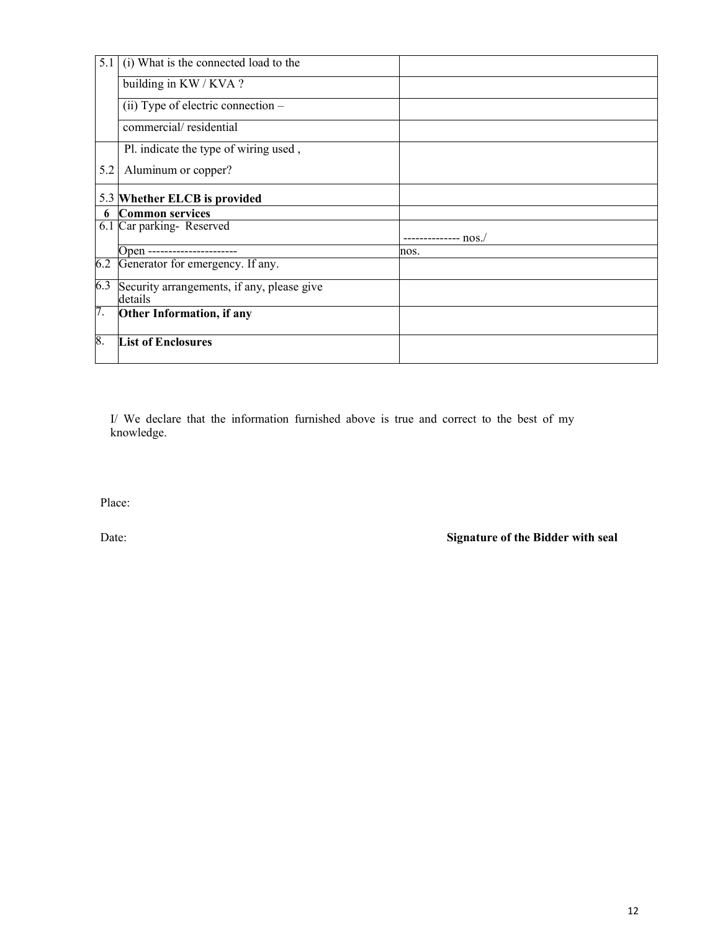| 5.1 | (i) What is the connected load to the                 |                    |
|-----|-------------------------------------------------------|--------------------|
|     | building in $KW/KVA$ ?                                |                    |
|     | (ii) Type of electric connection -                    |                    |
|     | commercial/residential                                |                    |
|     | Pl. indicate the type of wiring used,                 |                    |
| 5.2 | Aluminum or copper?                                   |                    |
|     | 5.3 Whether ELCB is provided                          |                    |
| 6   | <b>Common services</b>                                |                    |
|     | 6.1 Car parking-Reserved                              |                    |
|     |                                                       | ------------ nos./ |
|     | Open ----------------------                           | nos.               |
| 6.2 | Generator for emergency. If any.                      |                    |
| 6.3 | Security arrangements, if any, please give<br>details |                    |
| 7.  | Other Information, if any                             |                    |
| 8.  | <b>List of Enclosures</b>                             |                    |

I/ We declare that the information furnished above is true and correct to the best of my knowledge.

Place: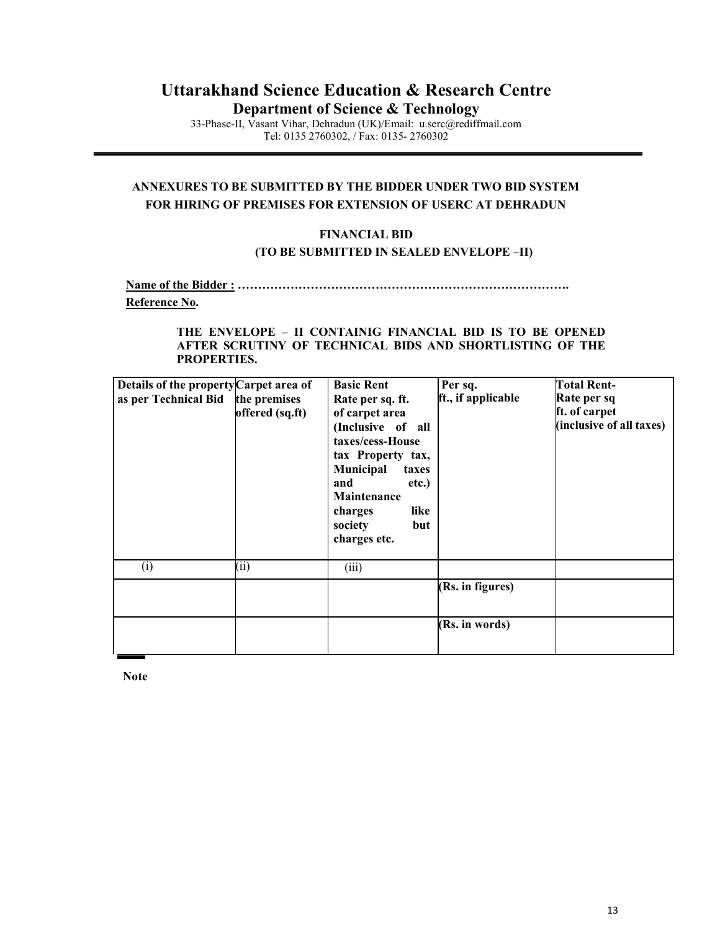## Uttarakhand Science Education & Research Centre Department of Science & Technology

33-Phase-II, Vasant Vihar, Dehradun (UK)/Email: u.serc@rediffmail.com Tel: 0135 2760302, / Fax: 0135- 2760302

## ANNEXURES TO BE SUBMITTED BY THE BIDDER UNDER TWO BID SYSTEM FOR HIRING OF PREMISES FOR EXTENSION OF USERC AT DEHRADUN

## FINANCIAL BID (TO BE SUBMITTED IN SEALED ENVELOPE –II)

Name of the Bidder : ………………………………………………………………………. Reference No.

#### THE ENVELOPE – II CONTAINIG FINANCIAL BID IS TO BE OPENED AFTER SCRUTINY OF TECHNICAL BIDS AND SHORTLISTING OF THE PROPERTIES.

| Details of the property Carpet area of<br>as per Technical Bid | the premises<br>offered (sq.ft) | <b>Basic Rent</b><br>Rate per sq. ft.<br>of carpet area<br>(Inclusive of all<br>taxes/cess-House<br>tax Property tax,<br>Municipal<br>taxes<br>and<br>etc.)<br>Maintenance<br>like<br>charges<br>society<br>but<br>charges etc. | Per sq.<br>ft., if applicable | <b>Total Rent-</b><br>Rate per sq<br>ft. of carpet<br>(inclusive of all taxes) |
|----------------------------------------------------------------|---------------------------------|---------------------------------------------------------------------------------------------------------------------------------------------------------------------------------------------------------------------------------|-------------------------------|--------------------------------------------------------------------------------|
| (i)                                                            | (11)                            | (iii)                                                                                                                                                                                                                           |                               |                                                                                |
|                                                                |                                 |                                                                                                                                                                                                                                 | (Rs. in figures)              |                                                                                |
|                                                                |                                 |                                                                                                                                                                                                                                 | (Rs. in words)                |                                                                                |

**Note**